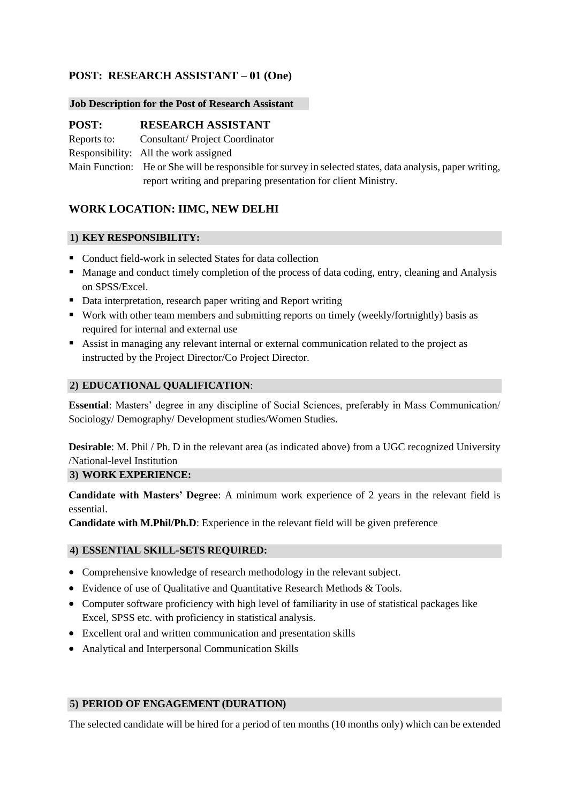# **POST: RESEARCH ASSISTANT – 01 (One)**

#### **Job Description for the Post of Research Assistant**

## **POST: RESEARCH ASSISTANT**

Reports to: Consultant/ Project Coordinator

Responsibility: All the work assigned

Main Function: He or She will be responsible for survey in selected states, data analysis, paper writing, report writing and preparing presentation for client Ministry.

# **WORK LOCATION: IIMC, NEW DELHI**

### **1) KEY RESPONSIBILITY:**

- Conduct field-work in selected States for data collection
- Manage and conduct timely completion of the process of data coding, entry, cleaning and Analysis on SPSS/Excel.
- Data interpretation, research paper writing and Report writing
- Work with other team members and submitting reports on timely (weekly/fortnightly) basis as required for internal and external use
- Assist in managing any relevant internal or external communication related to the project as instructed by the Project Director/Co Project Director.

### **2) EDUCATIONAL QUALIFICATION**:

**Essential**: Masters' degree in any discipline of Social Sciences, preferably in Mass Communication/ Sociology/ Demography/ Development studies/Women Studies.

**Desirable**: M. Phil / Ph. D in the relevant area (as indicated above) from a UGC recognized University /National-level Institution

#### **3) WORK EXPERIENCE:**

**Candidate with Masters' Degree**: A minimum work experience of 2 years in the relevant field is essential.

**Candidate with M.Phil/Ph.D**: Experience in the relevant field will be given preference

## **4) ESSENTIAL SKILL-SETS REQUIRED:**

- Comprehensive knowledge of research methodology in the relevant subject.
- Evidence of use of Qualitative and Quantitative Research Methods & Tools.
- Computer software proficiency with high level of familiarity in use of statistical packages like Excel, SPSS etc. with proficiency in statistical analysis.
- Excellent oral and written communication and presentation skills
- Analytical and Interpersonal Communication Skills

## **5) PERIOD OF ENGAGEMENT (DURATION)**

The selected candidate will be hired for a period of ten months (10 months only) which can be extended